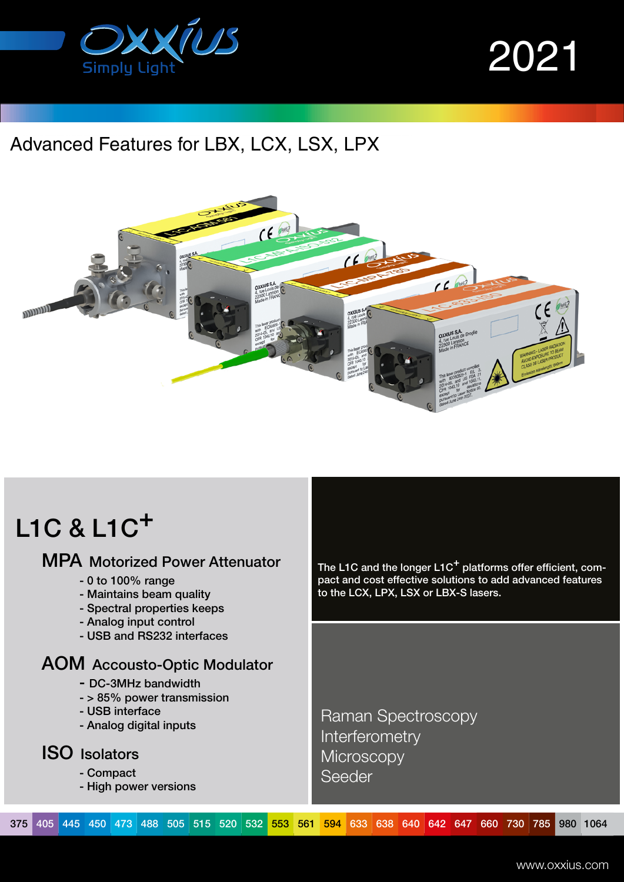

2021

### Advanced Features for LBX, LCX, LSX, LPX



## L1C & L1C+

#### MPA Motorized Power Attenuator

- 0 to 100% range
- Maintains beam quality
- Spectral properties keeps
- Analog input control
- USB and RS232 interfaces

#### AOM Accousto-Optic Modulator

- DC-3MHz bandwidth
- > 85% power transmission
- USB interface
- Analog digital inputs

#### ISO Isolators

- Compact
- High power versions

The L1C and the longer  $L1C^+$  platforms offer efficient, compact and cost effective solutions to add advanced features to the LCX, LPX, LSX or LBX-S lasers.

 Raman Spectroscopy **Interferometry Microscopy** Seeder

375 405 445 450 473 488 505 515 520 532 553 561 594 633 638 640 642 647 660 730 785 980 1064